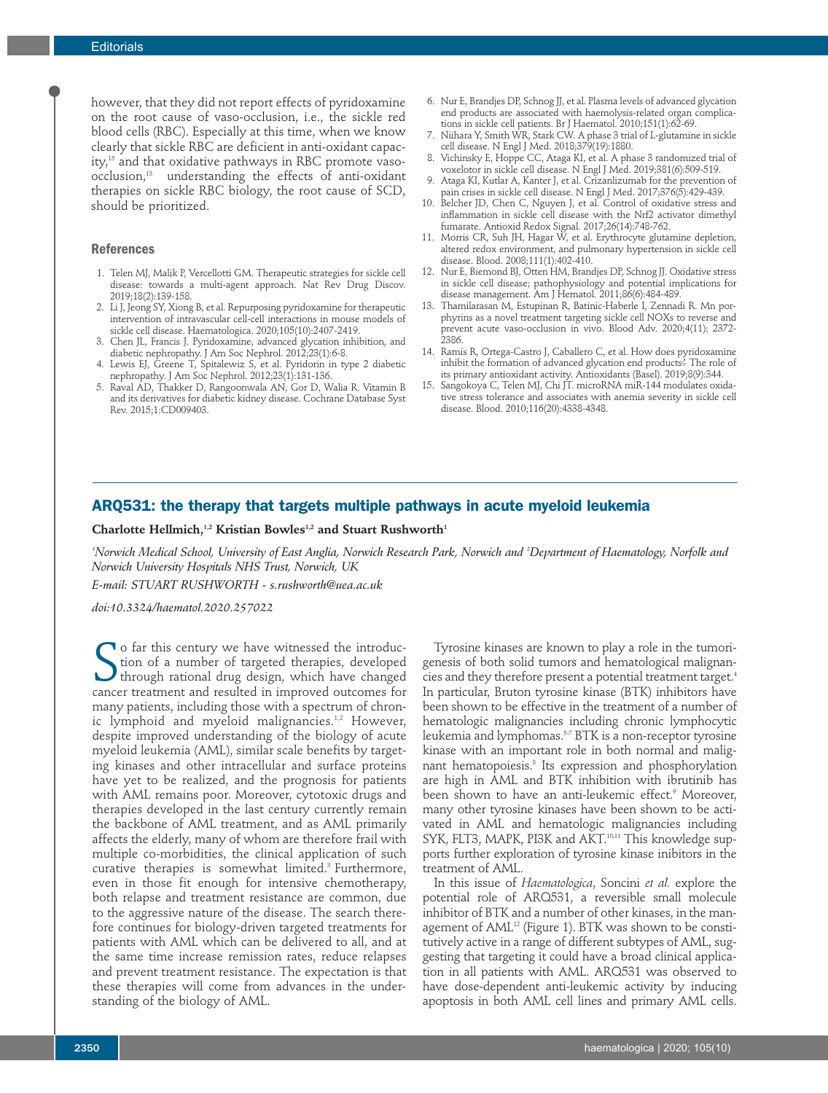however, that they did not report effects of pyridoxamine on the root cause of vaso-occlusion, i.e., the sickle red blood cells (RBC). Especially at this time, when we know clearly that sickle RBC are deficient in anti-oxidant capacity, <sup>15</sup> and that oxidative pathways in RBC promote vasoocclusion, <sup>13</sup> understanding the effects of anti-oxidant therapies on sickle RBC biology, the root cause of SCD, should be prioritized.

#### **References**

- 1. Telen MJ, Malik P, Vercellotti GM. Therapeutic strategies for sickle cell disease: towards a multi-agent approach. Nat Rev Drug Discov. 2019;18(2):139-158.
- 2. Li J, Jeong SY, Xiong B, et al. Repurposing pyridoxamine for therapeutic intervention of intravascular cell-cell interactions in mouse models of sickle cell disease. Haematologica. 2020;105(10):2407-2419.
- 3. Chen JL, Francis J. Pyridoxamine, advanced glycation inhibition, and diabetic nephropathy. J Am Soc Nephrol. 2012;23(1):6-8.
- 4. Lewis EJ, Greene T, Spitalewiz S, et al. Pyridorin in type 2 diabetic nephropathy. J Am Soc Nephrol. 2012;23(1):131-136.
- 5. Raval AD, Thakker D, Rangoonwala AN, Gor D, Walia R. Vitamin B and its derivatives for diabetic kidney disease. Cochrane Database Syst Rev. 2015;1:CD009403.
- 6. Nur E, Brandjes DP, Schnog JJ, et al. Plasma levels of advanced glycation end products are associated with haemolysis-related organ complications in sickle cell patients. Br J Haematol. 2010;151(1):62-69.
- 7. Niihara Y, Smith WR, Stark CW. A phase 3 trial of L-glutamine in sickle cell disease. N Engl J Med. 2018;379(19):1880.
- 8. Vichinsky E, Hoppe CC, Ataga KI, et al. A phase 3 randomized trial of voxelotor in sickle cell disease. N Engl J Med. 2019;381(6):509-519.
- 9. Ataga KI, Kutlar A, Kanter J, et al. Crizanlizumab for the prevention of pain crises in sickle cell disease. N Engl J Med. 2017;376(5):429-439.
- 10. Belcher JD, Chen C, Nguyen J, et al. Control of oxidative stress and inflammation in sickle cell disease with the Nrf2 activator dimethyl fumarate. Antioxid Redox Signal. 2017;26(14):748-762.
- 11. Morris CR, Suh JH, Hagar W, et al. Erythrocyte glutamine depletion, altered redox environment, and pulmonary hypertension in sickle cell disease. Blood. 2008;111(1):402-410.
- 12. Nur E, Biemond BJ, Otten HM, Brandjes DP, Schnog JJ. Oxidative stress in sickle cell disease; pathophysiology and potential implications for disease management. Am J Hematol. 2011;86(6):484-489.
- 13. Thamilarasan M, Estupinan R, Batinic-Haberle I, Zennadi R. Mn porphyrins as a novel treatment targeting sickle cell NOXs to reverse and prevent acute vaso-occlusion in vivo. Blood Adv. 2020;4(11): 2372- 2386.
- 14. Ramis R, Ortega-Castro J, Caballero C, et al. How does pyridoxamine inhibit the formation of advanced glycation end products? The role of its primary antioxidant activity. Antioxidants (Basel). 2019;8(9):344.
- 15. Sangokoya C, Telen MJ, Chi JT. microRNA miR-144 modulates oxidative stress tolerance and associates with anemia severity in sickle cell disease. Blood. 2010;116(20):4338-4348.

# **ARQ531: the therapy that targets multiple pathways in acute myeloid leukemia**

 $\mathbf{C}$ harlotte Hellmich,<sup>1,2</sup> Kristian Bowles<sup>1,2</sup> and Stuart Rushworth<sup>1</sup>

'Norwich Medical School, University of East Anglia, Norwich Research Park, Norwich and <sup>2</sup>Department of Haematology, Norfolk and *Norwich University Hospitals NHS Trust, Norwich, UK*

*E-mail: STUART RUSHWORTH - s.rushworth@uea.ac.uk*

*doi:10.3324/haematol.2020.257022*

So far this century we have witnessed the introduction of a number of targeted therapies, developed through rational drug design, which have changed cancer treatment and resulted in improved outcomes for o far this century we have witnessed the introduction of a number of targeted therapies, developed through rational drug design, which have changed many patients, including those with a spectrum of chronic lymphoid and myeloid malignancies. 1,2 However, despite improved understanding of the biology of acute myeloid leukemia (AML), similar scale benefits by targeting kinases and other intracellular and surface proteins have yet to be realized, and the prognosis for patients with AML remains poor. Moreover, cytotoxic drugs and therapies developed in the last century currently remain the backbone of AML treatment, and as AML primarily affects the elderly, many of whom are therefore frail with multiple co-morbidities, the clinical application of such curative therapies is somewhat limited. <sup>3</sup> Furthermore, even in those fit enough for intensive chemotherapy, both relapse and treatment resistance are common, due to the aggressive nature of the disease. The search therefore continues for biology-driven targeted treatments for patients with AML which can be delivered to all, and at the same time increase remission rates, reduce relapses and prevent treatment resistance. The expectation is that these therapies will come from advances in the understanding of the biology of AML.

Tyrosine kinases are known to play a role in the tumorigenesis of both solid tumors and hematological malignancies and they therefore present a potential treatment target. 4 In particular, Bruton tyrosine kinase (BTK) inhibitors have been shown to be effective in the treatment of a number of hematologic malignancies including chronic lymphocytic leukemia and lymphomas. 5-7 BTK is a non-receptor tyrosine kinase with an important role in both normal and malignant hematopoiesis. <sup>8</sup> Its expression and phosphorylation are high in AML and BTK inhibition with ibrutinib has been shown to have an anti-leukemic effect. <sup>9</sup> Moreover, many other tyrosine kinases have been shown to be activated in AML and hematologic malignancies including SYK, FLT3, MAPK, PI3K and AKT.<sup>10,11</sup> This knowledge supports further exploration of tyrosine kinase inibitors in the treatment of AML.

In this issue of *Haematologica*, Soncini *et al.* explore the potential role of ARQ531, a reversible small molecule inhibitor of BTK and a number of other kinases, in the management of AML<sup>12</sup> (Figure 1). BTK was shown to be constitutively active in a range of different subtypes of AML, suggesting that targeting it could have a broad clinical application in all patients with AML. ARQ531 was observed to have dose-dependent anti-leukemic activity by inducing apoptosis in both AML cell lines and primary AML cells.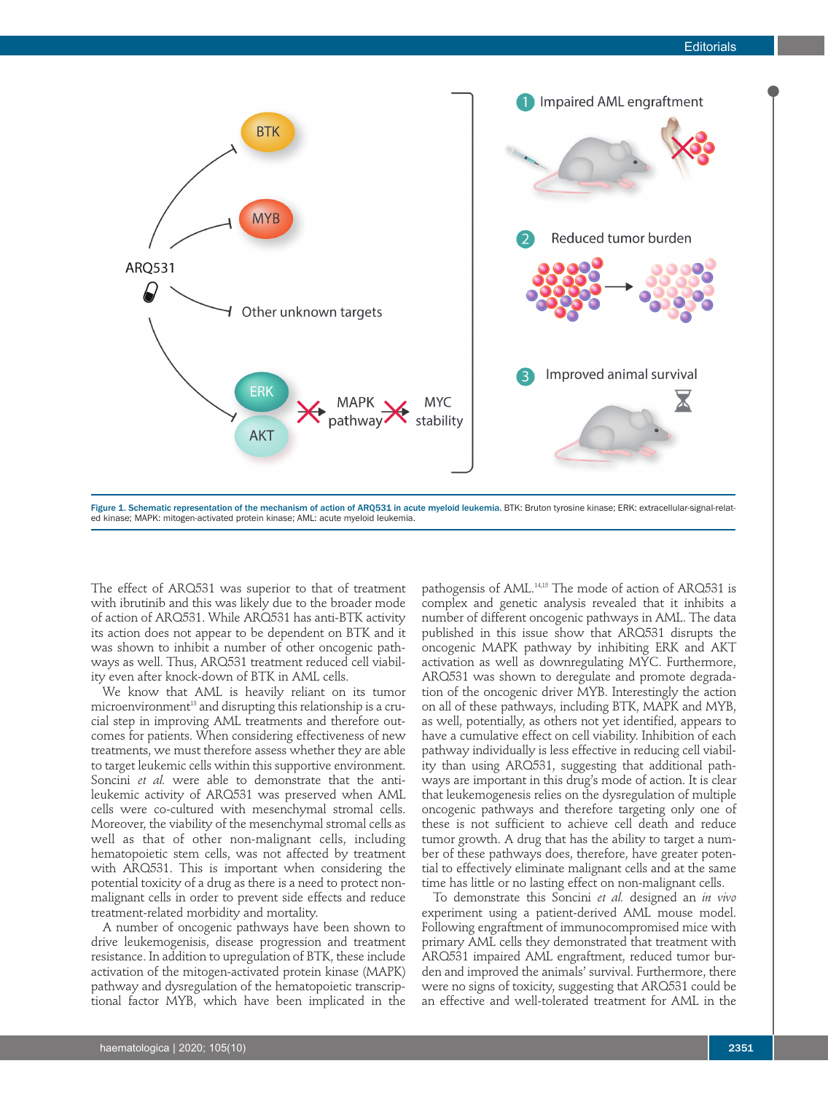

ed kinase; MAPK: mitogen-activated protein kinase; AML: acute myeloid leukemia.

The effect of ARQ531 was superior to that of treatment with ibrutinib and this was likely due to the broader mode of action of ARQ531. While ARQ531 has anti-BTK activity its action does not appear to be dependent on BTK and it was shown to inhibit a number of other oncogenic pathways as well. Thus, ARQ531 treatment reduced cell viability even after knock-down of BTK in AML cells.

We know that AML is heavily reliant on its tumor microenvironment <sup>13</sup> and disrupting this relationship is a crucial step in improving AML treatments and therefore outcomes for patients. When considering effectiveness of new treatments, we must therefore assess whether they are able to target leukemic cells within this supportive environment. Soncini *et al.* were able to demonstrate that the antileukemic activity of ARQ531 was preserved when AML cells were co-cultured with mesenchymal stromal cells. Moreover, the viability of the mesenchymal stromal cells as well as that of other non-malignant cells, including hematopoietic stem cells, was not affected by treatment with ARQ531. This is important when considering the potential toxicity of a drug as there is a need to protect nonmalignant cells in order to prevent side effects and reduce treatment-related morbidity and mortality.

A number of oncogenic pathways have been shown to drive leukemogenisis, disease progression and treatment resistance. In addition to upregulation of BTK, these include activation of the mitogen-activated protein kinase (MAPK) pathway and dysregulation of the hematopoietic transcriptional factor MYB, which have been implicated in the

pathogensis of AML. 14,15 The mode of action of ARQ531 is complex and genetic analysis revealed that it inhibits a number of different oncogenic pathways in AML. The data published in this issue show that ARQ531 disrupts the oncogenic MAPK pathway by inhibiting ERK and AKT activation as well as downregulating MYC. Furthermore, ARQ531 was shown to deregulate and promote degradation of the oncogenic driver MYB. Interestingly the action on all of these pathways, including BTK, MAPK and MYB, as well, potentially, as others not yet identified, appears to have a cumulative effect on cell viability. Inhibition of each pathway individually is less effective in reducing cell viability than using ARQ531, suggesting that additional pathways are important in this drug's mode of action. It is clear that leukemogenesis relies on the dysregulation of multiple oncogenic pathways and therefore targeting only one of these is not sufficient to achieve cell death and reduce tumor growth. A drug that has the ability to target a number of these pathways does, therefore, have greater potential to effectively eliminate malignant cells and at the same time has little or no lasting effect on non-malignant cells.

To demonstrate this Soncini *et al.* designed an *in vivo* experiment using a patient-derived AML mouse model. Following engraftment of immunocompromised mice with primary AML cells they demonstrated that treatment with ARQ531 impaired AML engraftment, reduced tumor burden and improved the animals' survival. Furthermore, there were no signs of toxicity, suggesting that ARQ531 could be an effective and well-tolerated treatment for AML in the